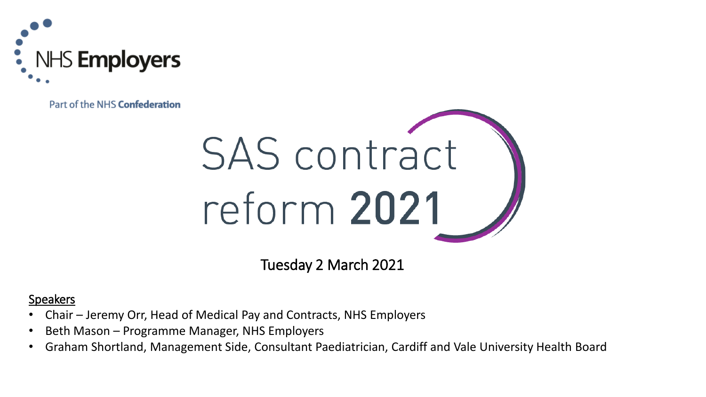

Part of the NHS Confederation



Tuesday 2 March 2021

#### **Speakers**

- Chair Jeremy Orr, Head of Medical Pay and Contracts, NHS Employers
- Beth Mason Programme Manager, NHS Employers
- Graham Shortland, Management Side, Consultant Paediatrician, Cardiff and Vale University Health Board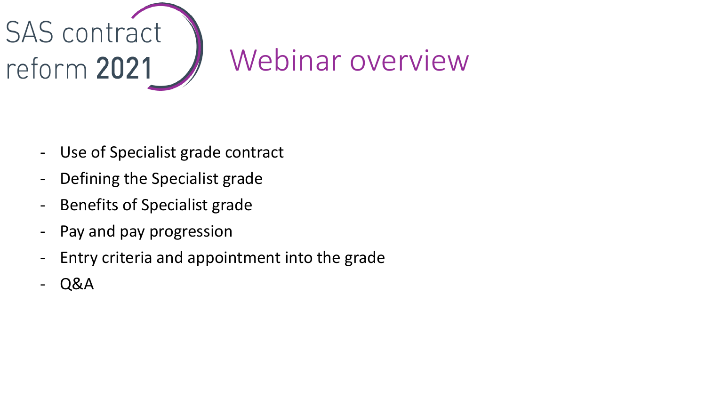

## Webinar overview

- Use of Specialist grade contract
- Defining the Specialist grade
- Benefits of Specialist grade
- Pay and pay progression
- Entry criteria and appointment into the grade
- Q&A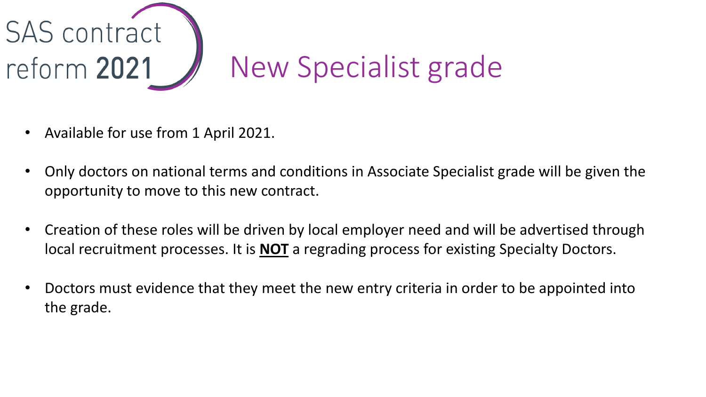

- Available for use from 1 April 2021.
- Only doctors on national terms and conditions in Associate Specialist grade will be given the opportunity to move to this new contract.
- Creation of these roles will be driven by local employer need and will be advertised through local recruitment processes. It is **NOT** a regrading process for existing Specialty Doctors.
- Doctors must evidence that they meet the new entry criteria in order to be appointed into the grade.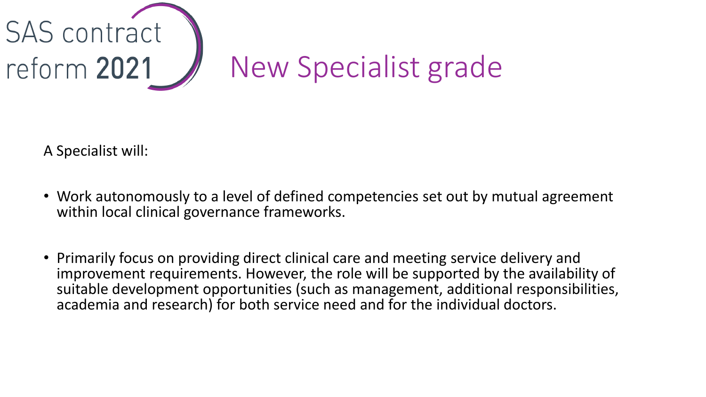

A Specialist will:

- Work autonomously to a level of defined competencies set out by mutual agreement within local clinical governance frameworks.
- Primarily focus on providing direct clinical care and meeting service delivery and improvement requirements. However, the role will be supported by the availability of suitable development opportunities (such as management, additional responsibilities, academia and research) for both service need and for the individual doctors.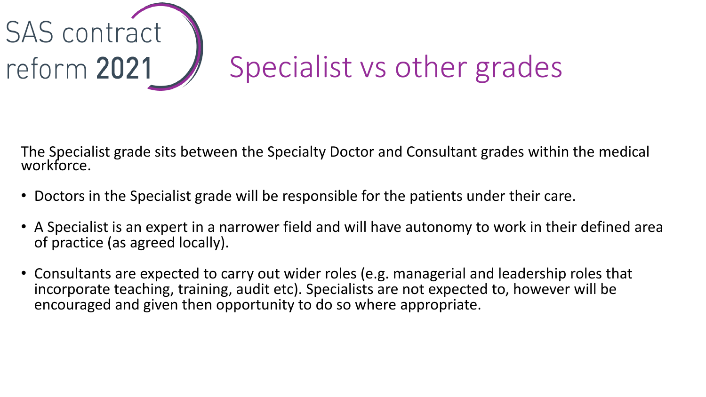

The Specialist grade sits between the Specialty Doctor and Consultant grades within the medical workforce.

- Doctors in the Specialist grade will be responsible for the patients under their care.
- A Specialist is an expert in a narrower field and will have autonomy to work in their defined area of practice (as agreed locally).
- Consultants are expected to carry out wider roles (e.g. managerial and leadership roles that incorporate teaching, training, audit etc). Specialists are not expected to, however will be encouraged and given then opportunity to do so where appropriate.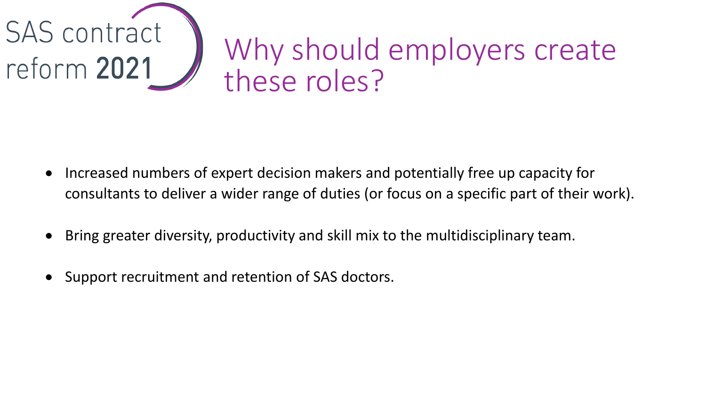

- Increased numbers of expert decision makers and potentially free up capacity for consultants to deliver a wider range of duties (or focus on a specific part of their work).
- Bring greater diversity, productivity and skill mix to the multidisciplinary team.
- Support recruitment and retention of SAS doctors.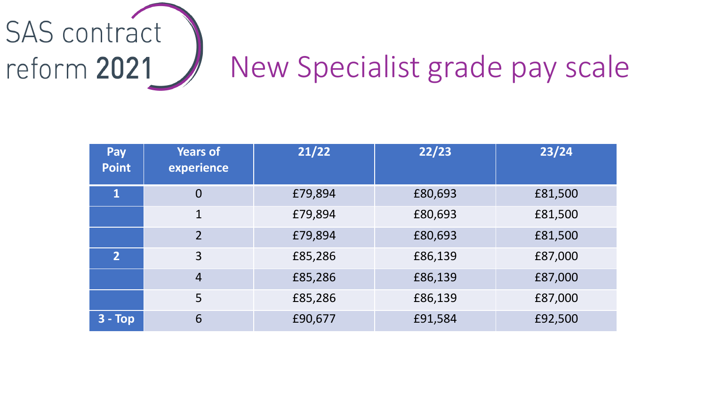

| <b>Pay</b><br><b>Point</b> | <b>Years of</b><br>experience | 21/22   | 22/23   | 23/24   |
|----------------------------|-------------------------------|---------|---------|---------|
| $\mathbf{1}$               | $\overline{0}$                | £79,894 | £80,693 | £81,500 |
|                            | $\mathbf{1}$                  | £79,894 | £80,693 | £81,500 |
|                            | $\overline{2}$                | £79,894 | £80,693 | £81,500 |
| $\overline{2}$             | 3                             | £85,286 | £86,139 | £87,000 |
|                            | $\overline{4}$                | £85,286 | £86,139 | £87,000 |
|                            | 5                             | £85,286 | £86,139 | £87,000 |
| $3 - Top$                  | 6                             | £90,677 | £91,584 | £92,500 |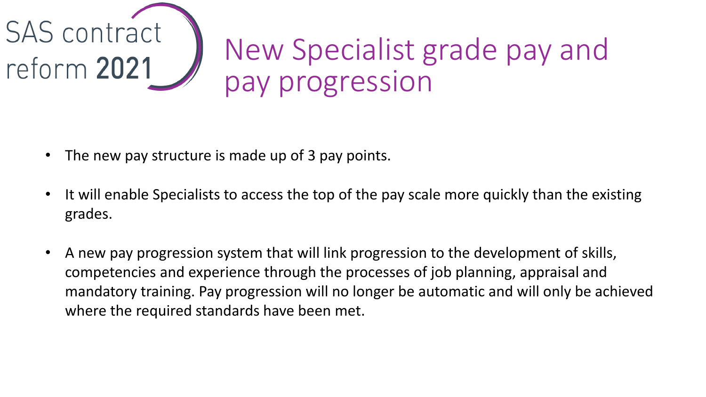

## New Specialist grade pay and pay progression

- The new pay structure is made up of 3 pay points.
- It will enable Specialists to access the top of the pay scale more quickly than the existing grades.
- A new pay progression system that will link progression to the development of skills, competencies and experience through the processes of job planning, appraisal and mandatory training. Pay progression will no longer be automatic and will only be achieved where the required standards have been met.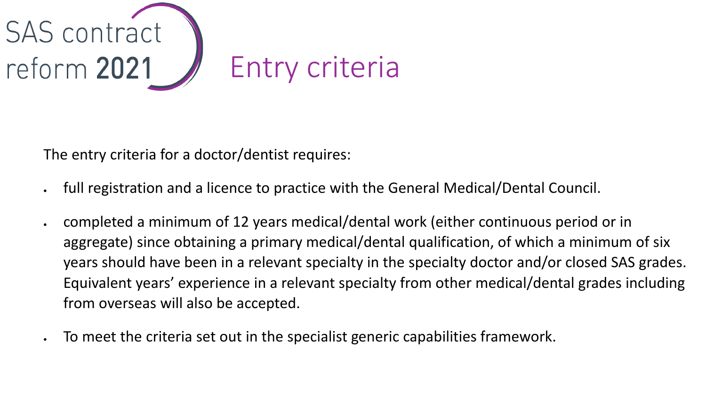

The entry criteria for a doctor/dentist requires:

- full registration and a licence to practice with the General Medical/Dental Council.
- completed a minimum of 12 years medical/dental work (either continuous period or in aggregate) since obtaining a primary medical/dental qualification, of which a minimum of six years should have been in a relevant specialty in the specialty doctor and/or closed SAS grades. Equivalent years' experience in a relevant specialty from other medical/dental grades including from overseas will also be accepted.
- To meet the criteria set out in the specialist generic capabilities framework.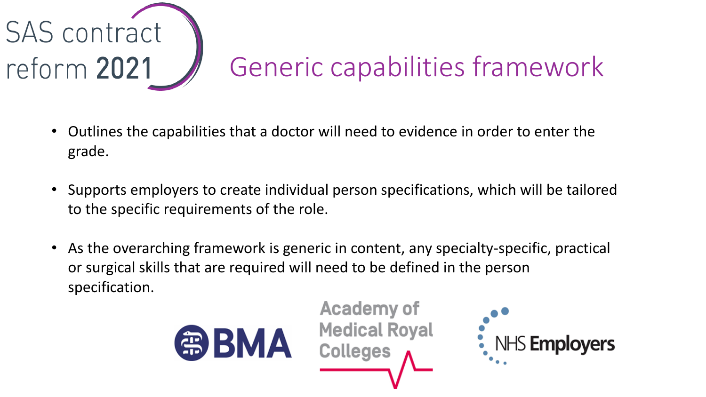

# Generic capabilities framework

- Outlines the capabilities that a doctor will need to evidence in order to enter the grade.
- Supports employers to create individual person specifications, which will be tailored to the specific requirements of the role.
- As the overarching framework is generic in content, any specialty-specific, practical or surgical skills that are required will need to be defined in the person specification.

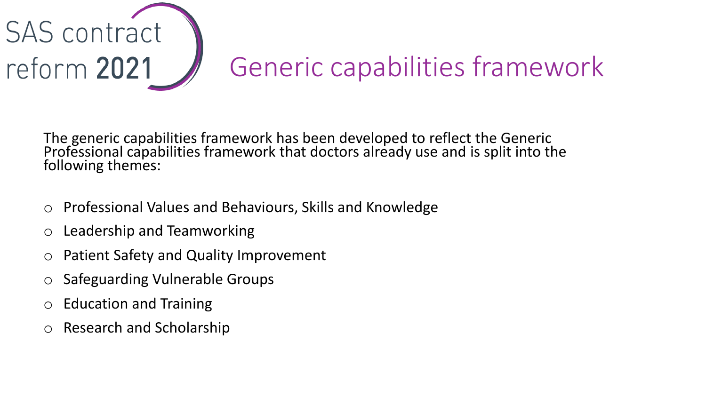

The generic capabilities framework has been developed to reflect the Generic Professional capabilities framework that doctors already use and is split into the following themes:

- Professional Values and Behaviours, Skills and Knowledge
- o Leadership and Teamworking
- o Patient Safety and Quality Improvement
- o Safeguarding Vulnerable Groups
- o Education and Training
- Research and Scholarship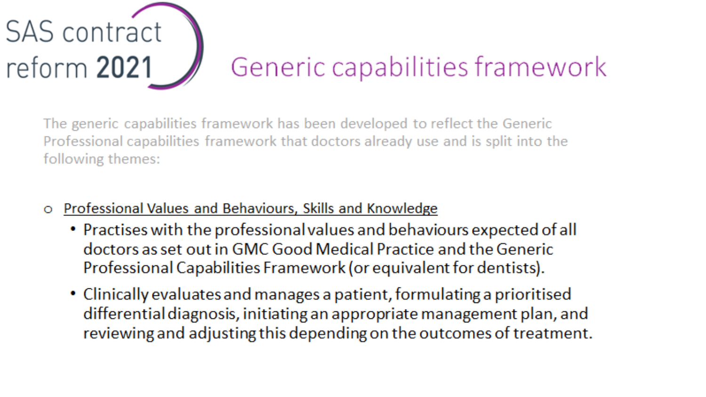

The generic capabilities framework has been developed to reflect the Generic Professional capabilities framework that doctors already use and is split into the following themes:

- Professional Values and Behaviours, Skills and Knowledge
	- Practises with the professional values and behaviours expected of all doctors as set out in GMC Good Medical Practice and the Generic Professional Capabilities Framework (or equivalent for dentists).
	- Clinically evaluates and manages a patient, formulating a prioritised differential diagnosis, initiating an appropriate management plan, and reviewing and adjusting this depending on the outcomes of treatment.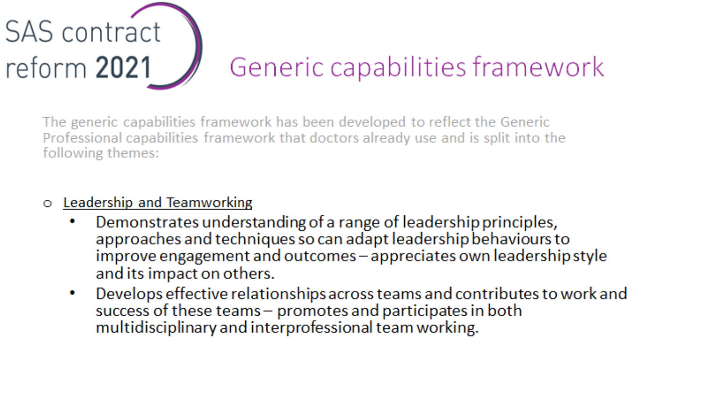

The generic capabilities framework has been developed to reflect the Generic Professional capabilities framework that doctors already use and is split into the following themes:

#### Leadership and Teamworking  $\bullet$

- Demonstrates understanding of a range of leadership principles, ۰ approaches and techniques so can adapt leadership behaviours to improve engagement and outcomes - appreciates own leadership style and its impact on others.
- Develops effective relationships across teams and contributes to work and  $\bullet$ success of these teams - promotes and participates in both multidisciplinary and interprofessional team working.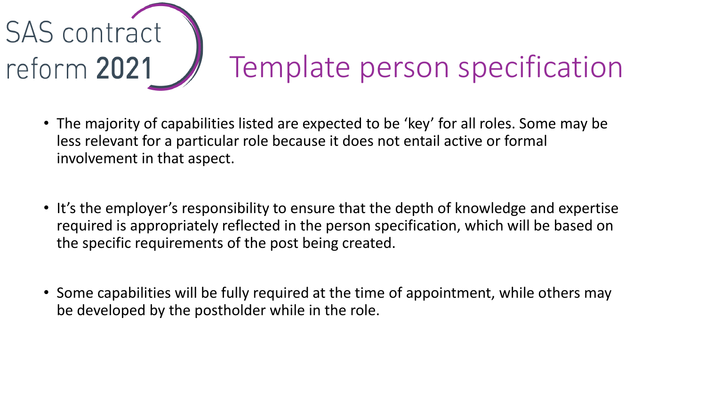

- The majority of capabilities listed are expected to be 'key' for all roles. Some may be less relevant for a particular role because it does not entail active or formal involvement in that aspect.
- It's the employer's responsibility to ensure that the depth of knowledge and expertise required is appropriately reflected in the person specification, which will be based on the specific requirements of the post being created.
- Some capabilities will be fully required at the time of appointment, while others may be developed by the postholder while in the role.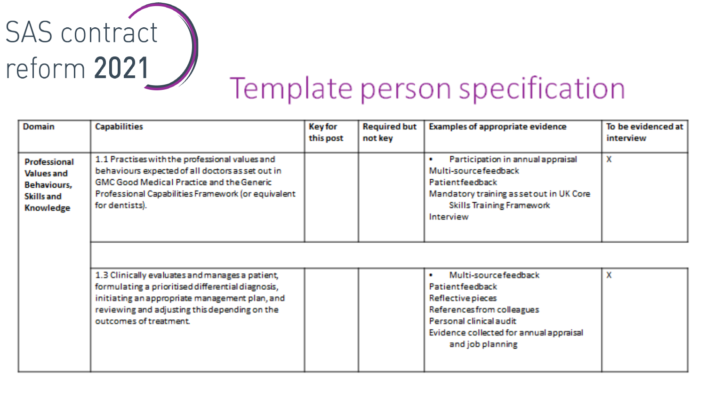

# Template person specification

| <b>Domain</b>                                                                                    | <b>Capabilities</b>                                                                                                                                                                                                               | <b>Key for</b><br>this post | <b>Required but</b><br>not key | <b>Examples of appropriate evidence</b>                                                                                                                                                                    | To be evidenced at<br><i>interview</i> |
|--------------------------------------------------------------------------------------------------|-----------------------------------------------------------------------------------------------------------------------------------------------------------------------------------------------------------------------------------|-----------------------------|--------------------------------|------------------------------------------------------------------------------------------------------------------------------------------------------------------------------------------------------------|----------------------------------------|
| <b>Professional</b><br><b>Values and</b><br><b>Behaviours,</b><br>Skills and<br><b>Knowledge</b> | 1.1 Practises with the professional values and<br>behaviours expected of all doctors as set out in<br><b>GMC Good Medical Practice and the Generic</b><br>Professional Capabilities Framework (or equivalent<br>for dentists).    |                             |                                | Participation in annual appraisal<br>1991<br>Multi-sourcefeedback<br>Patientfeedback<br>Mandatory training as set out in UK Core<br><b>Skills Training Framework</b><br><b>Interview</b>                   | $\mathbf x$                            |
|                                                                                                  | 1.3 Clinically evaluates and manages a patient,<br>formulating a prioritised differential diagnosis,<br>initiating an appropriate management plan, and<br>reviewing and adjusting this depending on the<br>outcomes of treatment. |                             |                                | Multi-sourcefeedback<br><b>1999</b><br><b>Patientfeedback</b><br>Reflective pieces<br>References from colleagues<br>Personal clinical audit<br>Evidence collected for annual appraisal<br>and job planning | x                                      |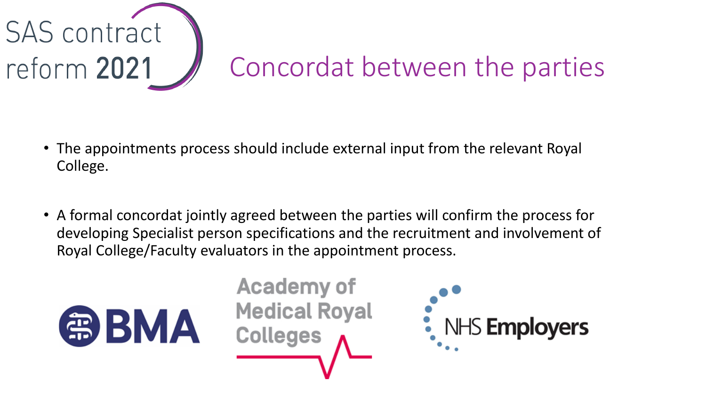

- The appointments process should include external input from the relevant Royal College.
- A formal concordat jointly agreed between the parties will confirm the process for developing Specialist person specifications and the recruitment and involvement of Royal College/Faculty evaluators in the appointment process.



**Academy of Medical Royal Colleges** 

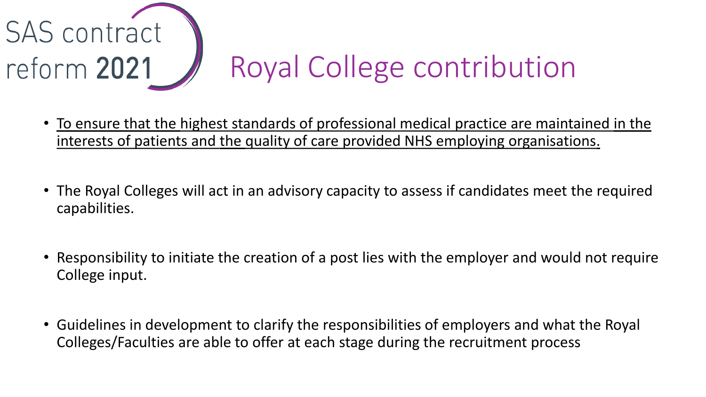

- To ensure that the highest standards of professional medical practice are maintained in the interests of patients and the quality of care provided NHS employing organisations.
- The Royal Colleges will act in an advisory capacity to assess if candidates meet the required capabilities.
- Responsibility to initiate the creation of a post lies with the employer and would not require College input.
- Guidelines in development to clarify the responsibilities of employers and what the Royal Colleges/Faculties are able to offer at each stage during the recruitment process